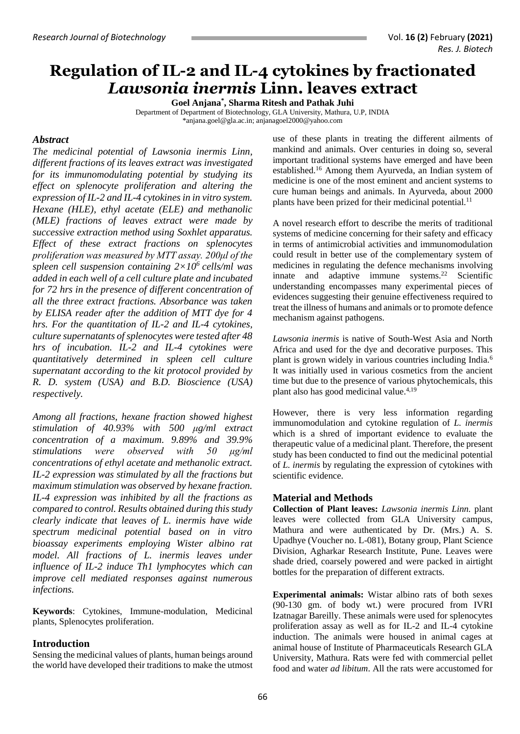# **Regulation of IL-2 and IL-4 cytokines by fractionated**  *Lawsonia inermis* **Linn. leaves extract**

**Goel Anjana\* , Sharma Ritesh and Pathak Juhi** Department of Department of Biotechnology, GLA University, Mathura, U.P, INDIA [\\*anjana.goel@gla.ac.in;](mailto:anjana.goel@gla.ac.in) [anjanagoel2000@yahoo.com](mailto:anjanagoel2000@yahoo.com)

## *Abstract*

*The medicinal potential of Lawsonia inermis Linn, different fractions of its leaves extract was investigated for its immunomodulating potential by studying its effect on splenocyte proliferation and altering the expression of IL-2 and IL-4 cytokines in in vitro system. Hexane (HLE), ethyl acetate (ELE) and methanolic (MLE) fractions of leaves extract were made by successive extraction method using Soxhlet apparatus. Effect of these extract fractions on splenocytes proliferation was measured by MTT assay. 200μl of the spleen cell suspension containing 2×10<sup>6</sup>cells/ml was added in each well of a cell culture plate and incubated for 72 hrs in the presence of different concentration of all the three extract fractions. Absorbance was taken by ELISA reader after the addition of MTT dye for 4 hrs. For the quantitation of IL-2 and IL-4 cytokines, culture supernatants of splenocytes were tested after 48 hrs of incubation. IL-2 and IL-4 cytokines were quantitatively determined in spleen cell culture supernatant according to the kit protocol provided by R. D. system (USA) and B.D. Bioscience (USA) respectively.* 

*Among all fractions, hexane fraction showed highest stimulation of 40.93% with 500 μg/ml extract concentration of a maximum. 9.89% and 39.9% stimulations were observed with 50 μg/ml concentrations of ethyl acetate and methanolic extract. IL-2 expression was stimulated by all the fractions but maximum stimulation was observed by hexane fraction. IL-4 expression was inhibited by all the fractions as compared to control. Results obtained during this study clearly indicate that leaves of L. inermis have wide spectrum medicinal potential based on in vitro bioassay experiments employing Wister albino rat model. All fractions of L. inermis leaves under influence of IL-2 induce Th1 lymphocytes which can improve cell mediated responses against numerous infections.* 

**Keywords**: Cytokines, Immune-modulation, Medicinal plants, Splenocytes proliferation.

## **Introduction**

Sensing the medicinal values of plants, human beings around the world have developed their traditions to make the utmost

use of these plants in treating the different ailments of mankind and animals. Over centuries in doing so, several important traditional systems have emerged and have been established.<sup>16</sup> Among them Ayurveda, an Indian system of medicine is one of the most eminent and ancient systems to cure human beings and animals. In Ayurveda, about 2000 plants have been prized for their medicinal potential.<sup>11</sup>

A novel research effort to describe the merits of traditional systems of medicine concerning for their safety and efficacy in terms of antimicrobial activities and immunomodulation could result in better use of the complementary system of medicines in regulating the defence mechanisms involving innate and adaptive immune systems. <sup>22</sup> Scientific understanding encompasses many experimental pieces of evidences suggesting their genuine effectiveness required to treat the illness of humans and animals or to promote defence mechanism against pathogens.

*Lawsonia inermis* is native of South-West Asia and North Africa and used for the dye and decorative purposes. This plant is grown widely in various countries including India.<sup>6</sup> It was initially used in various cosmetics from the ancient time but due to the presence of various phytochemicals, this plant also has good medicinal value.<sup>4,19</sup>

However, there is very less information regarding immunomodulation and cytokine regulation of *L. inermis* which is a shred of important evidence to evaluate the therapeutic value of a medicinal plant. Therefore, the present study has been conducted to find out the medicinal potential of *L. inermis* by regulating the expression of cytokines with scientific evidence.

## **Material and Methods**

**Collection of Plant leaves:** *Lawsonia inermis Linn.* plant leaves were collected from GLA University campus, Mathura and were authenticated by Dr. (Mrs.) A. S. Upadhye (Voucher no. L-081), Botany group, Plant Science Division, Agharkar Research Institute, Pune. Leaves were shade dried, coarsely powered and were packed in airtight bottles for the preparation of different extracts.

**Experimental animals:** Wistar albino rats of both sexes (90-130 gm. of body wt.) were procured from IVRI Izatnagar Bareilly. These animals were used for splenocytes proliferation assay as well as for IL-2 and IL-4 cytokine induction. The animals were housed in animal cages at animal house of Institute of Pharmaceuticals Research GLA University, Mathura. Rats were fed with commercial pellet food and water *ad libitum*. All the rats were accustomed for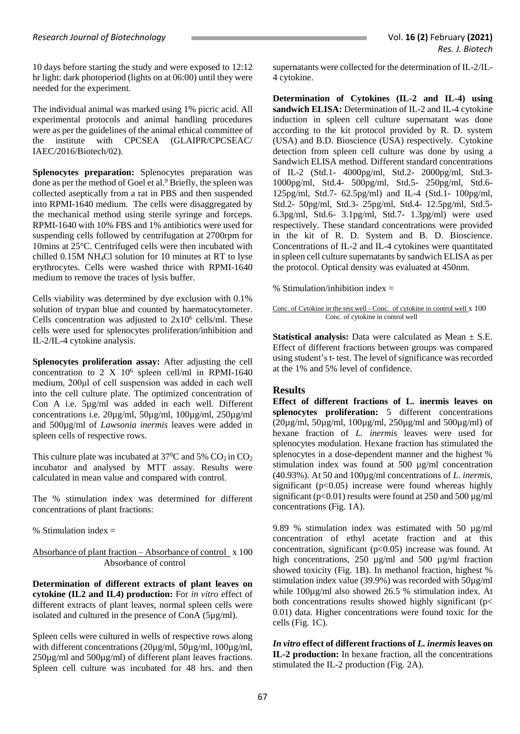10 days before starting the study and were exposed to 12:12 hr light: dark photoperiod (lights on at 06:00) until they were needed for the experiment.

The individual animal was marked using 1% picric acid. All experimental protocols and animal handling procedures were as per the guidelines of the animal ethical committee of the institute with CPCSEA (GLAIPR/CPCSEAC/ IAEC/2016/Biotech/02).

**Splenocytes preparation:** Splenocytes preparation was done as per the method of Goel et al.<sup>9</sup> Briefly, the spleen was collected aseptically from a rat in PBS and then suspended into RPMI-1640 medium. The cells were disaggregated by the mechanical method using sterile syringe and forceps. RPMI-1640 with 10% FBS and 1% antibiotics were used for suspending cells followed by centrifugation at 2700rpm for 10mins at 25°C. Centrifuged cells were then incubated with chilled 0.15M NH4Cl solution for 10 minutes at RT to lyse erythrocytes. Cells were washed thrice with RPMI-1640 medium to remove the traces of lysis buffer.

Cells viability was determined by dye exclusion with 0.1% solution of trypan blue and counted by haematocytometer. Cells concentration was adjusted to  $2x10^6$  cells/ml. These cells were used for splenocytes proliferation/inhibition and IL-2/IL-4 cytokine analysis.

**Splenocytes proliferation assay:** After adjusting the cell concentration to 2 X 10<sup>6</sup> spleen cell/ml in RPMI-1640 medium, 200μl of cell suspension was added in each well into the cell culture plate. The optimized concentration of Con A i.e. 5µg/ml was added in each well. Different concentrations i.e. 20µg/ml, 50µg/ml, 100µg/ml, 250µg/ml and 500µg/ml of *Lawsonia inermis* leaves were added in spleen cells of respective rows.

This culture plate was incubated at  $37^{\circ}$ C and 5% CO<sub>2</sub> in CO<sub>2</sub> incubator and analysed by MTT assay. Results were calculated in mean value and compared with control.

The % stimulation index was determined for different concentrations of plant fractions:

% Stimulation index  $=$ 

Absorbance of plant fraction – Absorbance of control x 100 Absorbance of control

**Determination of different extracts of plant leaves on cytokine (IL2 and IL4) production:** For *in vitro* effect of different extracts of plant leaves, normal spleen cells were isolated and cultured in the presence of ConA (5µg/ml).

Spleen cells were cultured in wells of respective rows along with different concentrations (20µg/ml, 50µg/ml, 100µg/ml, 250µg/ml and 500µg/ml) of different plant leaves fractions. Spleen cell culture was incubated for 48 hrs. and then

supernatants were collected for the determination of IL-2/IL-4 cytokine.

**Determination of Cytokines (IL-2 and IL-4) using**  sandwich ELISA: Determination of IL-2 and IL-4 cytokine induction in spleen cell culture supernatant was done according to the kit protocol provided by R. D. system (USA) and B.D. Bioscience (USA) respectively. Cytokine detection from spleen cell culture was done by using a Sandwich ELISA method. Different standard concentrations of IL-2 (Std.1- 4000pg/ml, Std.2- 2000pg/ml, Std.3- 1000pg/ml, Std.4- 500pg/ml, Std.5- 250pg/ml, Std.6- 125pg/ml, Std.7- 62.5pg/ml) and IL-4 (Std.1- 100pg/ml, Std.2- 50pg/ml, Std.3- 25pg/ml, Std.4- 12.5pg/ml, Std.5- 6.3pg/ml, Std.6- 3.1pg/ml, Std.7- 1.3pg/ml) were used respectively. These standard concentrations were provided in the kit of R. D. System and B. D. Bioscience. Concentrations of IL-2 and IL-4 cytokines were quantitated in spleen cell culture supernatants by sandwich ELISA as per the protocol. Optical density was evaluated at 450nm.

% Stimulation/inhibition index  $=$ 

Conc. of Cytokine in the test well - Conc. of cytokine in control well x 100 Conc. of cytokine in control well

**Statistical analysis:** Data were calculated as Mean ± S.E. Effect of different fractions between groups was compared using student's t- test. The level of significance was recorded at the 1% and 5% level of confidence.

## **Results**

**Effect of different fractions of L. inermis leaves on splenocytes proliferation:** 5 different concentrations (20µg/ml, 50µg/ml, 100µg/ml, 250µg/ml and 500µg/ml) of hexane fraction of *L. inermis* leaves were used for splenocytes modulation. Hexane fraction has stimulated the splenocytes in a dose-dependent manner and the highest % stimulation index was found at 500 µg/ml concentration (40.93%). At 50 and 100µg/ml concentrations of *L. inermis*, significant ( $p<0.05$ ) increase were found whereas highly significant ( $p<0.01$ ) results were found at 250 and 500  $\mu$ g/ml concentrations (Fig. 1A).

9.89 % stimulation index was estimated with 50 µg/ml concentration of ethyl acetate fraction and at this concentration, significant  $(p<0.05)$  increase was found. At high concentrations, 250 µg/ml and 500 µg/ml fraction showed toxicity (Fig. 1B). In methanol fraction, highest % stimulation index value (39.9%) was recorded with 50µg/ml while 100µg/ml also showed 26.5 % stimulation index. At both concentrations results showed highly significant (p< 0.01) data. Higher concentrations were found toxic for the cells (Fig. 1C).

*In vitro* **effect of different fractions of** *L. inermis* **leaves on IL-2 production:** In hexane fraction, all the concentrations stimulated the IL-2 production (Fig. 2A).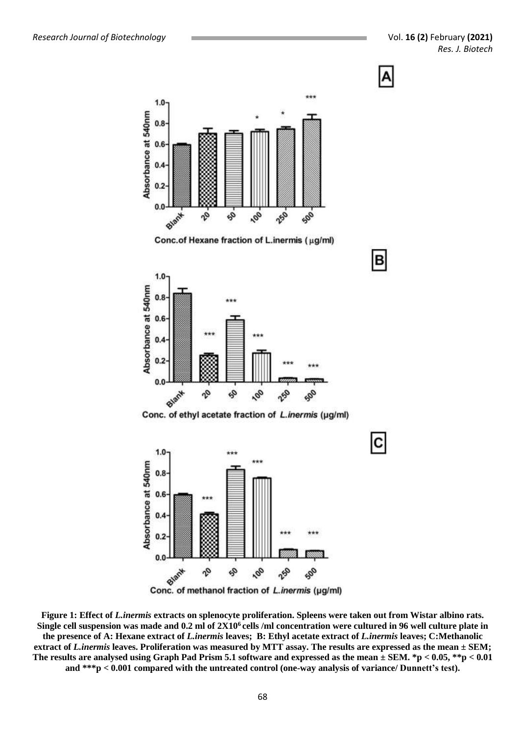



os,

 $\boldsymbol{\psi}$ 

100

250

902

 $0.6$ 

 $0.4$ 

 $0.2$ 

 $0.0$ 

**Figure 1: Effect of** *L.inermis* **extracts on splenocyte proliferation. Spleens were taken out from Wistar albino rats. Single cell suspension was made and 0.2 ml of 2X10<sup>6</sup>cells /ml concentration were cultured in 96 well culture plate in the presence of A: Hexane extract of** *L.inermis* **leaves; B: Ethyl acetate extract of** *L.inermis* **leaves; C:Methanolic extract of** *L.inermis* **leaves. Proliferation was measured by MTT assay. The results are expressed as the mean ± SEM; The results are analysed using Graph Pad Prism 5.1 software and expressed as the mean ± SEM. \*p < 0.05, \*\*p < 0.01 and \*\*\*p < 0.001 compared with the untreated control (one-way analysis of variance/ Dunnett's test).**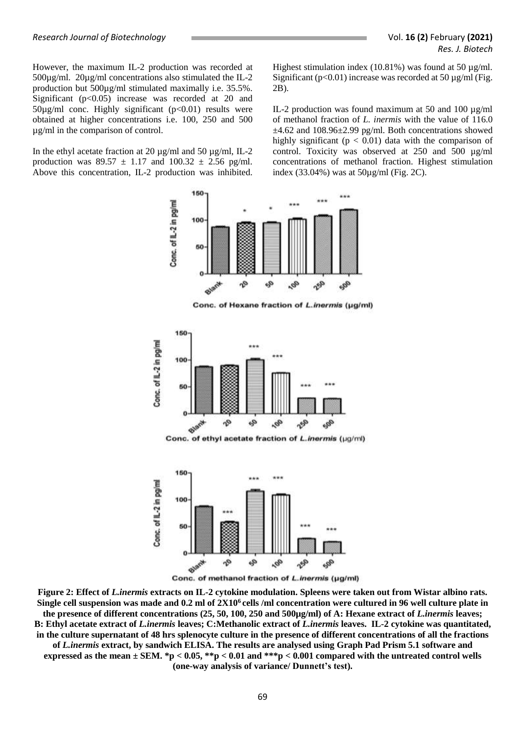However, the maximum IL-2 production was recorded at 500µg/ml. 20µg/ml concentrations also stimulated the IL-2 production but 500µg/ml stimulated maximally i.e. 35.5%. Significant  $(p<0.05)$  increase was recorded at 20 and  $50\mu g/ml$  conc. Highly significant (p<0.01) results were obtained at higher concentrations i.e. 100, 250 and 500 µg/ml in the comparison of control.

In the ethyl acetate fraction at 20 µg/ml and 50 µg/ml, IL-2 production was  $89.57 \pm 1.17$  and  $100.32 \pm 2.56$  pg/ml. Above this concentration, IL-2 production was inhibited. Highest stimulation index (10.81%) was found at 50 µg/ml. Significant ( $p<0.01$ ) increase was recorded at 50  $\mu$ g/ml (Fig. 2B).

IL-2 production was found maximum at 50 and 100 µg/ml of methanol fraction of *L. inermis* with the value of 116.0  $\pm$ 4.62 and 108.96 $\pm$ 2.99 pg/ml. Both concentrations showed highly significant ( $p < 0.01$ ) data with the comparison of control. Toxicity was observed at 250 and 500 µg/ml concentrations of methanol fraction. Highest stimulation index (33.04%) was at 50µg/ml (Fig. 2C).



Conc. of Hexane fraction of L.inermis (µg/ml)



Conc. of ethyl acetate fraction of L.inermis (µg/ml)



Conc. of methanol fraction of L.inermis (µg/ml)

**Figure 2: Effect of** *L.inermis* **extracts on IL-2 cytokine modulation. Spleens were taken out from Wistar albino rats. Single cell suspension was made and 0.2 ml of 2X10<sup>6</sup>cells /ml concentration were cultured in 96 well culture plate in the presence of different concentrations (25, 50, 100, 250 and 500µg/ml) of A: Hexane extract of** *L.inermis* **leaves; B: Ethyl acetate extract of** *L.inermis* **leaves; C:Methanolic extract of** *L.inermis* **leaves. IL-2 cytokine was quantitated, in the culture supernatant of 48 hrs splenocyte culture in the presence of different concentrations of all the fractions of** *L.inermis* **extract, by sandwich ELISA. The results are analysed using Graph Pad Prism 5.1 software and expressed as the mean ± SEM. \*p < 0.05, \*\*p < 0.01 and \*\*\*p < 0.001 compared with the untreated control wells** 

**(one-way analysis of variance/ Dunnett's test).**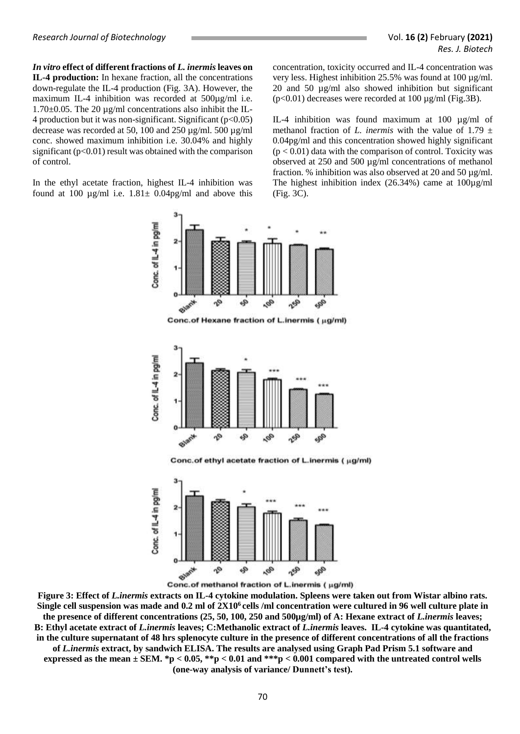*In vitro* **effect of different fractions of** *L. inermis* **leaves on IL-4 production:** In hexane fraction, all the concentrations down-regulate the IL-4 production (Fig. 3A). However, the maximum IL-4 inhibition was recorded at 500µg/ml i.e. 1.70±0.05. The 20 µg/ml concentrations also inhibit the IL-4 production but it was non-significant. Significant  $(p<0.05)$ decrease was recorded at 50, 100 and 250 µg/ml. 500 µg/ml conc. showed maximum inhibition i.e. 30.04% and highly significant  $(p<0.01)$  result was obtained with the comparison of control.

In the ethyl acetate fraction, highest IL-4 inhibition was found at 100  $\mu$ g/ml i.e. 1.81 $\pm$  0.04pg/ml and above this concentration, toxicity occurred and IL-4 concentration was very less. Highest inhibition 25.5% was found at 100 µg/ml. 20 and 50 µg/ml also showed inhibition but significant  $(p<0.01)$  decreases were recorded at 100  $\mu$ g/ml (Fig.3B).

IL-4 inhibition was found maximum at 100 µg/ml of methanol fraction of *L. inermis* with the value of 1.79  $\pm$ 0.04pg/ml and this concentration showed highly significant  $(p < 0.01)$  data with the comparison of control. Toxicity was observed at 250 and 500 µg/ml concentrations of methanol fraction. % inhibition was also observed at 20 and 50 µg/ml. The highest inhibition index (26.34%) came at 100µg/ml (Fig. 3C).



Conc.of Hexane fraction of L.inermis (ug/ml)



Conc.of ethyl acetate fraction of L.inermis ( µg/ml)



Conc.of methanol fraction of L.inermis ( µg/ml)

**Figure 3: Effect of** *L.inermis* **extracts on IL-4 cytokine modulation. Spleens were taken out from Wistar albino rats. Single cell suspension was made and 0.2 ml of 2X10<sup>6</sup>cells /ml concentration were cultured in 96 well culture plate in the presence of different concentrations (25, 50, 100, 250 and 500µg/ml) of A: Hexane extract of** *L.inermis* **leaves; B: Ethyl acetate extract of** *L.inermis* **leaves; C:Methanolic extract of** *L.inermis* **leaves. IL-4 cytokine was quantitated, in the culture supernatant of 48 hrs splenocyte culture in the presence of different concentrations of all the fractions of** *L.inermis* **extract, by sandwich ELISA. The results are analysed using Graph Pad Prism 5.1 software and expressed as the mean ± SEM. \*p < 0.05, \*\*p < 0.01 and \*\*\*p < 0.001 compared with the untreated control wells (one-way analysis of variance/ Dunnett's test).**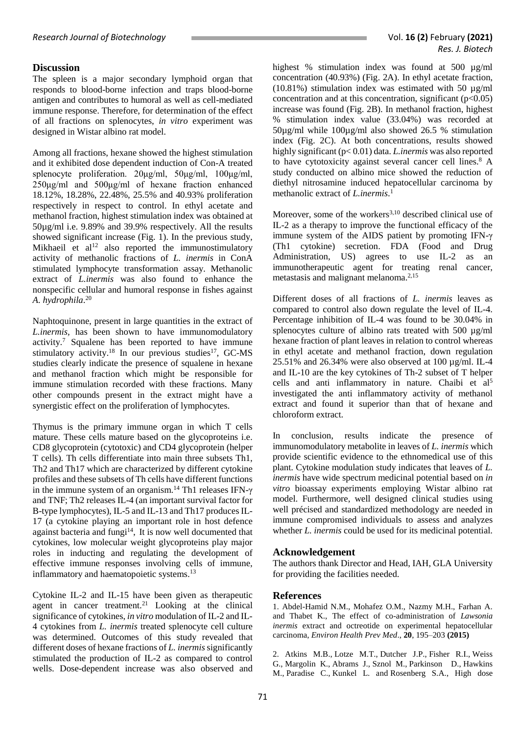## **Discussion**

The spleen is a major secondary lymphoid organ that responds to blood-borne infection and traps blood-borne antigen and contributes to humoral as well as cell-mediated immune response. Therefore, for determination of the effect of all fractions on splenocytes, *in vitro* experiment was designed in Wistar albino rat model.

Among all fractions, hexane showed the highest stimulation and it exhibited dose dependent induction of Con-A treated splenocyte proliferation. 20μg/ml, 50μg/ml, 100μg/ml, 250μg/ml and 500μg/ml of hexane fraction enhanced 18.12%, 18.28%, 22.48%, 25.5% and 40.93% proliferation respectively in respect to control. In ethyl acetate and methanol fraction, highest stimulation index was obtained at 50µg/ml i.e. 9.89% and 39.9% respectively. All the results showed significant increase (Fig. 1). In the previous study, Mikhaeil et al<sup>12</sup> also reported the immunostimulatory activity of methanolic fractions of *L. inermis* in ConA stimulated lymphocyte transformation assay. Methanolic extract of *L.inermis* was also found to enhance the nonspecific cellular and humoral response in fishes against *A. hydrophila*. 20

Naphtoquinone, present in large quantities in the extract of *L.inermis,* has been shown to have immunomodulatory activity. <sup>7</sup> Squalene has been reported to have immune stimulatory activity.<sup>18</sup> In our previous studies<sup>17</sup>, GC-MS studies clearly indicate the presence of squalene in hexane and methanol fraction which might be responsible for immune stimulation recorded with these fractions. Many other compounds present in the extract might have a synergistic effect on the proliferation of lymphocytes.

Thymus is the primary immune organ in which T cells mature. These cells mature based on the glycoproteins i.e. CD8 glycoprotein (cytotoxic) and CD4 glycoprotein (helper T cells). Th cells differentiate into main three subsets Th1, Th2 and Th17 which are characterized by different cytokine profiles and these subsets of Th cells have different functions in the immune system of an organism.<sup>14</sup> Th1 releases IFN-γ and TNF; Th2 releases IL-4 (an important survival factor for B-type lymphocytes), IL-5 and IL-13 and Th17 produces IL-17 (a cytokine playing an important role in host defence against bacteria and fungi<sup>14</sup>, It is now well documented that cytokines, low molecular weight glycoproteins play major roles in inducting and regulating the development of effective immune responses involving cells of immune, inflammatory and haematopoietic systems.<sup>13</sup>

Cytokine IL-2 and IL-15 have been given as therapeutic agent in cancer treatment.<sup>21</sup> Looking at the clinical significance of cytokines, *in vitro* modulation of IL-2 and IL-4 cytokines from *L. inermis* treated splenocyte cell culture was determined. Outcomes of this study revealed that different doses of hexane fractions of *L. inermis* significantly stimulated the production of IL-2 as compared to control wells. Dose-dependent increase was also observed and highest % stimulation index was found at 500  $\mu$ g/ml concentration (40.93%) (Fig. 2A). In ethyl acetate fraction,  $(10.81\%)$  stimulation index was estimated with 50  $\mu$ g/ml concentration and at this concentration, significant  $(p<0.05)$ increase was found (Fig. 2B). In methanol fraction, highest % stimulation index value (33.04%) was recorded at 50µg/ml while 100µg/ml also showed 26.5 % stimulation index (Fig. 2C). At both concentrations, results showed highly significant (p< 0.01) data. *L.inermis* was also reported to have cytotoxicity against several cancer cell lines.<sup>8</sup> A study conducted on albino mice showed the reduction of diethyl nitrosamine induced hepatocellular carcinoma by methanolic extract of *L.inermis*. 1

Moreover, some of the workers<sup>3,10</sup> described clinical use of IL-2 as a therapy to improve the functional efficacy of the immune system of the AIDS patient by promoting IFN-γ (Th1 cytokine) secretion. FDA (Food and Drug Administration, US) agrees to use IL-2 as an immunotherapeutic agent for treating renal cancer, metastasis and malignant melanoma.2,15

Different doses of all fractions of *L. inermis* leaves as compared to control also down regulate the level of IL-4. Percentage inhibition of IL-4 was found to be 30.04% in splenocytes culture of albino rats treated with 500 ug/ml hexane fraction of plant leaves in relation to control whereas in ethyl acetate and methanol fraction, down regulation 25.51% and 26.34% were also observed at 100 µg/ml. IL-4 and IL-10 are the key cytokines of Th-2 subset of T helper cells and anti inflammatory in nature. Chaibi et al<sup>5</sup> investigated the anti inflammatory activity of methanol extract and found it superior than that of hexane and chloroform extract.

In conclusion, results indicate the presence of immunomodulatory metabolite in leaves of *L. inermis* which provide scientific evidence to the ethnomedical use of this plant. Cytokine modulation study indicates that leaves of *L. inermis* have wide spectrum medicinal potential based on *in vitro* bioassay experiments employing Wistar albino rat model. Furthermore, well designed clinical studies using well précised and standardized methodology are needed in immune compromised individuals to assess and analyzes whether *L. inermis* could be used for its medicinal potential.

## **Acknowledgement**

The authors thank Director and Head, IAH, GLA University for providing the facilities needed.

## **References**

1. Abdel-Hamid N.M., Mohafez O.M., Nazmy M.H., Farhan A. and Thabet K., The effect of co-administration of *Lawsonia inermis* extract and octreotide on experimental hepatocellular carcinoma, *Environ Health Prev Med*., **20**, 195–203 **(2015)**

2. Atkins M.B., Lotze M.T., Dutcher J.P., Fisher R.I., Weiss G., Margolin K., Abrams J., Sznol M., Parkinson D., Hawkins M., Paradise C., Kunkel L. and Rosenberg S.A., High dose